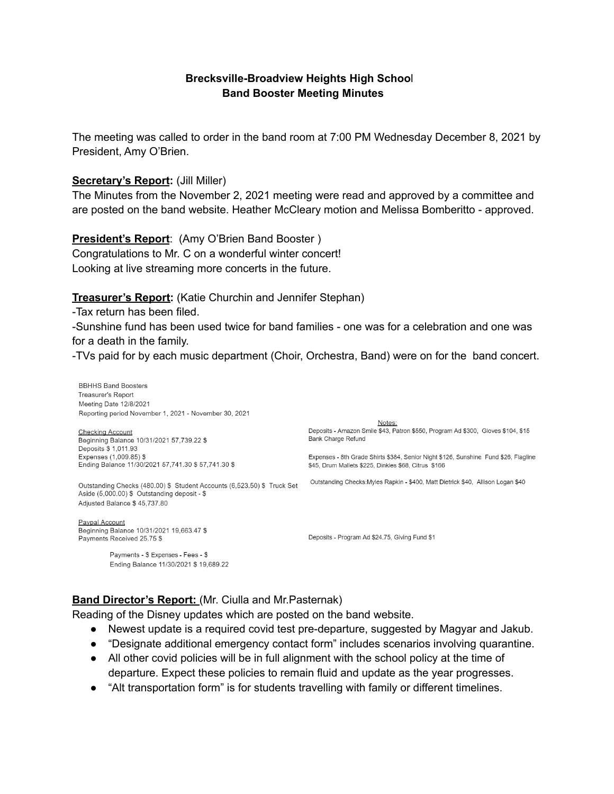#### **Brecksville-Broadview Heights High Schoo**l **Band Booster Meeting Minutes**

The meeting was called to order in the band room at 7:00 PM Wednesday December 8, 2021 by President, Amy O'Brien.

#### **Secretary's Report:** (Jill Miller)

The Minutes from the November 2, 2021 meeting were read and approved by a committee and are posted on the band website. Heather McCleary motion and Melissa Bomberitto - approved.

#### **President's Report**: (Amy O'Brien Band Booster )

Congratulations to Mr. C on a wonderful winter concert! Looking at live streaming more concerts in the future.

#### **Treasurer's Report:** (Katie Churchin and Jennifer Stephan)

-Tax return has been filed.

-Sunshine fund has been used twice for band families - one was for a celebration and one was for a death in the family.

-TVs paid for by each music department (Choir, Orchestra, Band) were on for the band concert.

**BBHHS Band Boosters** Treasurer's Report Meeting Date 12/8/2021 Reporting period November 1, 2021 - November 30, 2021

#### **Checking Account** Beginning Balance 10/31/2021 57,739.22 \$ Deposits \$ 1,011.93 Expenses (1,009.85) \$

Ending Balance 11/30/2021 57,741.30 \$ 57,741.30 \$

Outstanding Checks (480.00) \$ Student Accounts (6,523.50) \$ Truck Set Aside (5,000.00) \$ Outstanding deposit - \$ Adjusted Balance \$45,737.80

Paypal Account Beginning Balance 10/31/2021 19,663.47 \$ Payments Received 25.75 \$

> Payments - \$ Expenses - Fees - \$ Ending Balance 11/30/2021 \$ 19,689.22

Notes: Deposits - Amazon Smile \$43, Patron \$550, Program Ad \$300, Gloves \$104, \$15 Bank Charge Refund

Expenses - 8th Grade Shirts \$384, Senior Night \$126, Sunshine Fund \$26, Flagline \$45, Drum Mallets \$225, Dinkles \$68, Citrus \$166

Outstanding Checks: Myles Rapkin - \$400, Matt Dietrick \$40, Allison Logan \$40

Deposits - Program Ad \$24.75, Giving Fund \$1

#### **Band Director's Report:** (Mr. Ciulla and Mr.Pasternak)

Reading of the Disney updates which are posted on the band website.

- Newest update is a required covid test pre-departure, suggested by Magyar and Jakub.
- "Designate additional emergency contact form" includes scenarios involving quarantine.
- All other covid policies will be in full alignment with the school policy at the time of departure. Expect these policies to remain fluid and update as the year progresses.
- "Alt transportation form" is for students travelling with family or different timelines.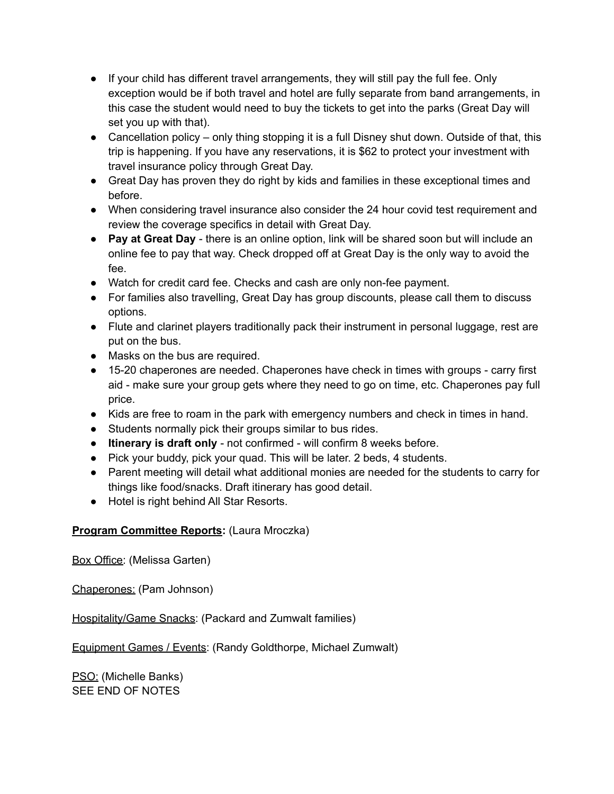- If your child has different travel arrangements, they will still pay the full fee. Only exception would be if both travel and hotel are fully separate from band arrangements, in this case the student would need to buy the tickets to get into the parks (Great Day will set you up with that).
- Cancellation policy only thing stopping it is a full Disney shut down. Outside of that, this trip is happening. If you have any reservations, it is \$62 to protect your investment with travel insurance policy through Great Day.
- Great Day has proven they do right by kids and families in these exceptional times and before.
- When considering travel insurance also consider the 24 hour covid test requirement and review the coverage specifics in detail with Great Day.
- **Pay at Great Day** there is an online option, link will be shared soon but will include an online fee to pay that way. Check dropped off at Great Day is the only way to avoid the fee.
- Watch for credit card fee. Checks and cash are only non-fee payment.
- For families also travelling, Great Day has group discounts, please call them to discuss options.
- Flute and clarinet players traditionally pack their instrument in personal luggage, rest are put on the bus.
- Masks on the bus are required.
- 15-20 chaperones are needed. Chaperones have check in times with groups carry first aid - make sure your group gets where they need to go on time, etc. Chaperones pay full price.
- Kids are free to roam in the park with emergency numbers and check in times in hand.
- Students normally pick their groups similar to bus rides.
- **Itinerary is draft only** not confirmed will confirm 8 weeks before.
- Pick your buddy, pick your quad. This will be later. 2 beds, 4 students.
- Parent meeting will detail what additional monies are needed for the students to carry for things like food/snacks. Draft itinerary has good detail.
- Hotel is right behind All Star Resorts.

#### **Program Committee Reports:** (Laura Mroczka)

Box Office: (Melissa Garten)

Chaperones: (Pam Johnson)

Hospitality/Game Snacks: (Packard and Zumwalt families)

Equipment Games / Events: (Randy Goldthorpe, Michael Zumwalt)

PSO: (Michelle Banks) SEE END OF NOTES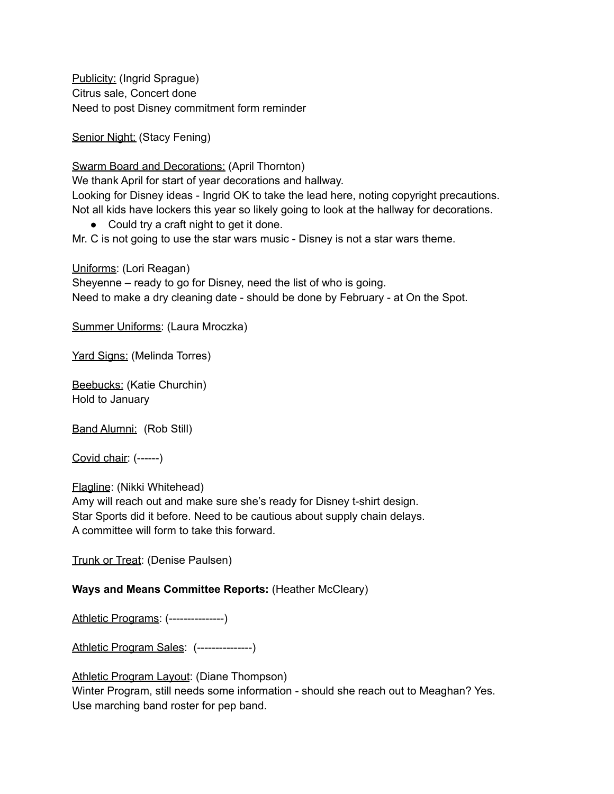Publicity: (Ingrid Sprague) Citrus sale, Concert done Need to post Disney commitment form reminder

Senior Night: (Stacy Fening)

Swarm Board and Decorations: (April Thornton)

We thank April for start of year decorations and hallway.

Looking for Disney ideas - Ingrid OK to take the lead here, noting copyright precautions. Not all kids have lockers this year so likely going to look at the hallway for decorations.

● Could try a craft night to get it done.

Mr. C is not going to use the star wars music - Disney is not a star wars theme.

Uniforms: (Lori Reagan) Sheyenne – ready to go for Disney, need the list of who is going. Need to make a dry cleaning date - should be done by February - at On the Spot.

Summer Uniforms: (Laura Mroczka)

Yard Signs: (Melinda Torres)

Beebucks: (Katie Churchin) Hold to January

Band Alumni: (Rob Still)

Covid chair: (------)

Flagline: (Nikki Whitehead) Amy will reach out and make sure she's ready for Disney t-shirt design. Star Sports did it before. Need to be cautious about supply chain delays. A committee will form to take this forward.

Trunk or Treat: (Denise Paulsen)

#### **Ways and Means Committee Reports:** (Heather McCleary)

Athletic Programs: (---------------)

Athletic Program Sales: (---------------)

Athletic Program Layout: (Diane Thompson) Winter Program, still needs some information - should she reach out to Meaghan? Yes. Use marching band roster for pep band.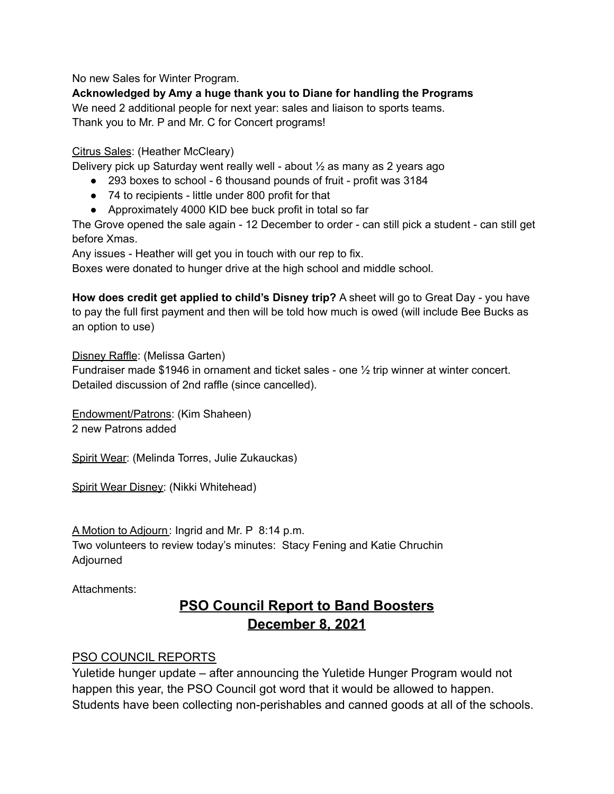No new Sales for Winter Program.

**Acknowledged by Amy a huge thank you to Diane for handling the Programs**

We need 2 additional people for next year: sales and liaison to sports teams. Thank you to Mr. P and Mr. C for Concert programs!

#### Citrus Sales: (Heather McCleary)

Delivery pick up Saturday went really well - about ½ as many as 2 years ago

- 293 boxes to school 6 thousand pounds of fruit profit was 3184
- 74 to recipients little under 800 profit for that
- Approximately 4000 KID bee buck profit in total so far

The Grove opened the sale again - 12 December to order - can still pick a student - can still get before Xmas.

Any issues - Heather will get you in touch with our rep to fix.

Boxes were donated to hunger drive at the high school and middle school.

**How does credit get applied to child's Disney trip?** A sheet will go to Great Day - you have to pay the full first payment and then will be told how much is owed (will include Bee Bucks as an option to use)

Disney Raffle: (Melissa Garten)

Fundraiser made \$1946 in ornament and ticket sales - one ½ trip winner at winter concert. Detailed discussion of 2nd raffle (since cancelled).

Endowment/Patrons: (Kim Shaheen) 2 new Patrons added

Spirit Wear: (Melinda Torres, Julie Zukauckas)

Spirit Wear Disney: (Nikki Whitehead)

A Motion to Adjourn: Ingrid and Mr. P 8:14 p.m. Two volunteers to review today's minutes: Stacy Fening and Katie Chruchin Adjourned

Attachments:

# **PSO Council Report to Band Boosters December 8, 2021**

# PSO COUNCIL REPORTS

Yuletide hunger update – after announcing the Yuletide Hunger Program would not happen this year, the PSO Council got word that it would be allowed to happen. Students have been collecting non-perishables and canned goods at all of the schools.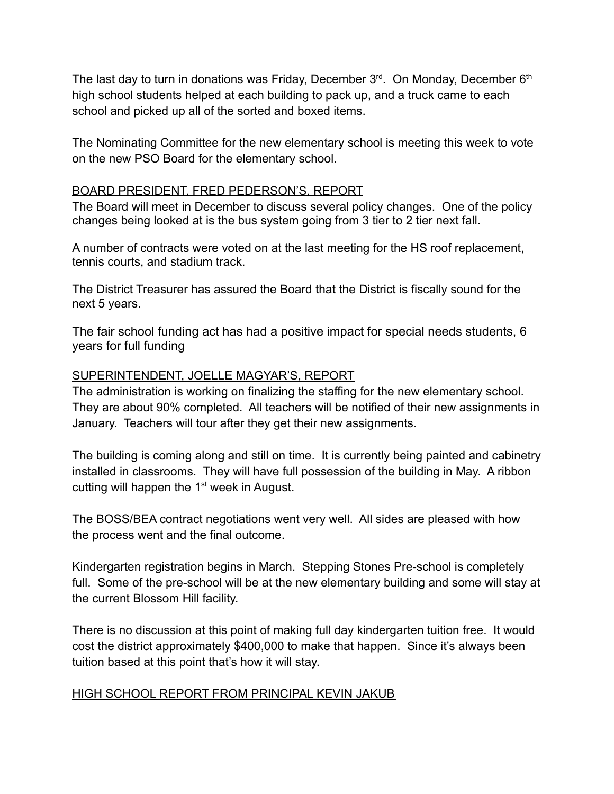The last day to turn in donations was Friday, December  $3<sup>rd</sup>$ . On Monday, December  $6<sup>th</sup>$ high school students helped at each building to pack up, and a truck came to each school and picked up all of the sorted and boxed items.

The Nominating Committee for the new elementary school is meeting this week to vote on the new PSO Board for the elementary school.

## BOARD PRESIDENT, FRED PEDERSON'S, REPORT

The Board will meet in December to discuss several policy changes. One of the policy changes being looked at is the bus system going from 3 tier to 2 tier next fall.

A number of contracts were voted on at the last meeting for the HS roof replacement, tennis courts, and stadium track.

The District Treasurer has assured the Board that the District is fiscally sound for the next 5 years.

The fair school funding act has had a positive impact for special needs students, 6 years for full funding

### SUPERINTENDENT, JOELLE MAGYAR'S, REPORT

The administration is working on finalizing the staffing for the new elementary school. They are about 90% completed. All teachers will be notified of their new assignments in January. Teachers will tour after they get their new assignments.

The building is coming along and still on time. It is currently being painted and cabinetry installed in classrooms. They will have full possession of the building in May. A ribbon cutting will happen the 1<sup>st</sup> week in August.

The BOSS/BEA contract negotiations went very well. All sides are pleased with how the process went and the final outcome.

Kindergarten registration begins in March. Stepping Stones Pre-school is completely full. Some of the pre-school will be at the new elementary building and some will stay at the current Blossom Hill facility.

There is no discussion at this point of making full day kindergarten tuition free. It would cost the district approximately \$400,000 to make that happen. Since it's always been tuition based at this point that's how it will stay.

# HIGH SCHOOL REPORT FROM PRINCIPAL KEVIN JAKUB